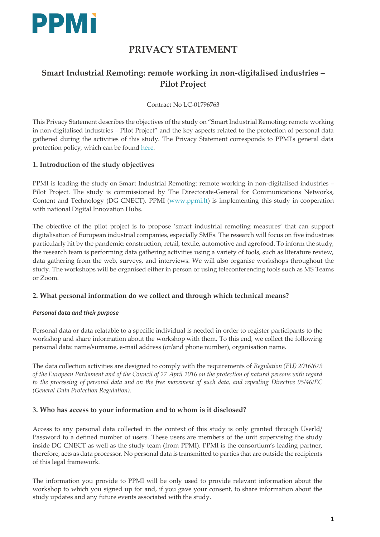

# **PRIVACY STATEMENT**

## **Smart Industrial Remoting: remote working in non-digitalised industries – Pilot Project**

Contract No LC-01796763

This Privacy Statement describes the objectives of the study on "Smart Industrial Remoting: remote working in non-digitalised industries – Pilot Project" and the key aspects related to the protection of personal data gathered during the activities of this study. The Privacy Statement corresponds to PPMI's general data protection policy, which can be found [here.](https://ppmi.lt/uploads/docs/Personal%20Data%20Protection%20Policy%20PPMI.pdf)

## **1. Introduction of the study objectives**

PPMI is leading the study on Smart Industrial Remoting: remote working in non-digitalised industries – Pilot Project. The study is commissioned by The Directorate-General for Communications Networks, Content and Technology (DG CNECT). PPMI [\(www.ppmi.lt\)](http://www.ppmi.lt/) is implementing this study in cooperation with national Digital Innovation Hubs.

The objective of the pilot project is to propose 'smart industrial remoting measures' that can support digitalisation of European industrial companies, especially SMEs. The research will focus on five industries particularly hit by the pandemic: construction, retail, textile, automotive and agrofood. To inform the study, the research team is performing data gathering activities using a variety of tools, such as literature review, data gathering from the web, surveys, and interviews. We will also organise workshops throughout the study. The workshops will be organised either in person or using teleconferencing tools such as MS Teams or Zoom.

## **2. What personal information do we collect and through which technical means?**

#### *Personal data and their purpose*

Personal data or data relatable to a specific individual is needed in order to register participants to the workshop and share information about the workshop with them. To this end, we collect the following personal data: name/surname, e-mail address (or/and phone number), organisation name.

The data collection activities are designed to comply with the requirements of *Regulation (EU) 2016/679 of the European Parliament and of the Council of 27 April 2016 on the protection of natural persons with regard to the processing of personal data and on the free movement of such data, and repealing Directive 95/46/EC (General Data Protection Regulation)*.

## **3. Who has access to your information and to whom is it disclosed?**

Access to any personal data collected in the context of this study is only granted through UserId/ Password to a defined number of users. These users are members of the unit supervising the study inside DG CNECT as well as the study team (from PPMI). PPMI is the consortium's leading partner, therefore, acts as data processor. No personal data is transmitted to parties that are outside the recipients of this legal framework.

The information you provide to PPMI will be only used to provide relevant information about the workshop to which you signed up for and, if you gave your consent, to share information about the study updates and any future events associated with the study.